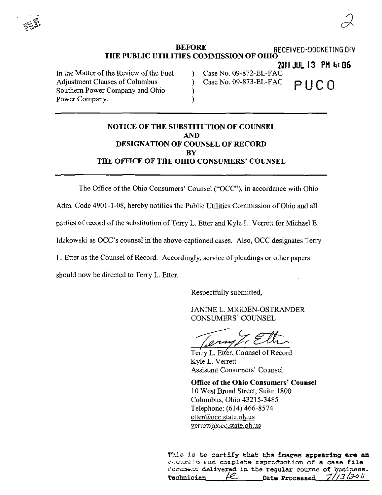BEFORE RECEIVED-DOCKETING DIV THE PUBLIC UTILITIES COMMISSION OF OHIO 2011 JUL 13 PM 4: 06<br>Case No. 09-872-EL-FAC In the Matter of the Review of the Fuel (a) Case No. 09-872-EL-FAC<br>Adjustment Clauses of Columbus (a) Case No. 09-873-EL-FAC

Adjustment Clauses of Columbus  $\overline{\phantom{a}}$  ) Case No. 09-873-EL-FAC P  $\overline{\phantom{a}}$  P  $\overline{\phantom{a}}$  $\sum_{i=1}^{\infty}$  of U V- $\sum_{i=1}^{\infty}$  in U V- $\sum_{i=1}^{\infty}$ Power Company.

## NOTICE OF THE SUBSTITUTION OF COUNSEL AND DESIGNATION OF COUNSEL OF RECORD **BY** THE OFFICE OF THE OHIO CONSUMERS' COUNSEL

The Office of the Ohio Consumers' Counsel ("OCC"), in accordance with Ohio Adm. Code 4901-1-08, hereby notifies the Pubhc Utilities Commission of Ohio and all parties of record of the substitution of Terry L. Etter and Kyle L. Verrett for Michael E. Idzkowski as OCC's counsel in the above-captioned cases. Also, OCC designates Terry L, Etter as the Counsel of Record. Accordingly, service of pleadings or other papers should now be directed to Terry L. Etter.

Respectfully submitted,

JANINE L. MIGDEN-OSTRANDER CONSUMERS' COUNSEL

Terry L. Etter, Counsel of Record Kyle L. Verrett Assistant Consumers' Counsel

Office of the Ohio Consumers' Counsel 10 West Broad Street, Suite 1800 Columbus, Ohio 43215-3485 Telephone: (614) 466-8574 etter@occ.state.oh.us verrett@occ.state.oh.us

This is to certify that the images appearing are an accurate and complete reproduction of a case file cocument delivered in the regular course of business.<br>Technician  $\mathcal{L}$  bate Processed  $7/73/30$ Date Processed